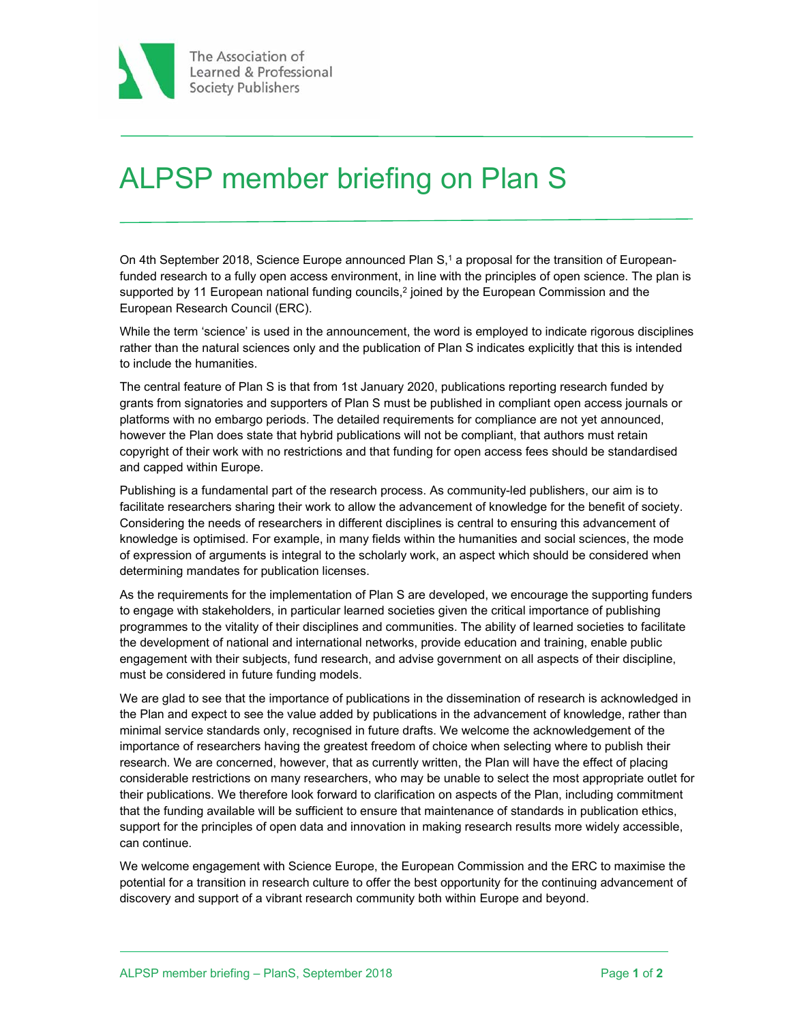

## ALPSP member briefing on Plan S

On 4th September 2018, Science Europe announced Plan S,<sup>1</sup> a proposal for the transition of Europeanfunded research to a fully open access environment, in line with the principles of open science. The plan is supported by 11 European national funding councils,<sup>2</sup> joined by the European Commission and the European Research Council (ERC).

While the term 'science' is used in the announcement, the word is employed to indicate rigorous disciplines rather than the natural sciences only and the publication of Plan S indicates explicitly that this is intended to include the humanities.

The central feature of Plan S is that from 1st January 2020, publications reporting research funded by grants from signatories and supporters of Plan S must be published in compliant open access journals or platforms with no embargo periods. The detailed requirements for compliance are not yet announced, however the Plan does state that hybrid publications will not be compliant, that authors must retain copyright of their work with no restrictions and that funding for open access fees should be standardised and capped within Europe.

Publishing is a fundamental part of the research process. As community-led publishers, our aim is to facilitate researchers sharing their work to allow the advancement of knowledge for the benefit of society. Considering the needs of researchers in different disciplines is central to ensuring this advancement of knowledge is optimised. For example, in many fields within the humanities and social sciences, the mode of expression of arguments is integral to the scholarly work, an aspect which should be considered when determining mandates for publication licenses.

As the requirements for the implementation of Plan S are developed, we encourage the supporting funders to engage with stakeholders, in particular learned societies given the critical importance of publishing programmes to the vitality of their disciplines and communities. The ability of learned societies to facilitate the development of national and international networks, provide education and training, enable public engagement with their subjects, fund research, and advise government on all aspects of their discipline, must be considered in future funding models.

We are glad to see that the importance of publications in the dissemination of research is acknowledged in the Plan and expect to see the value added by publications in the advancement of knowledge, rather than minimal service standards only, recognised in future drafts. We welcome the acknowledgement of the importance of researchers having the greatest freedom of choice when selecting where to publish their research. We are concerned, however, that as currently written, the Plan will have the effect of placing considerable restrictions on many researchers, who may be unable to select the most appropriate outlet for their publications. We therefore look forward to clarification on aspects of the Plan, including commitment that the funding available will be sufficient to ensure that maintenance of standards in publication ethics, support for the principles of open data and innovation in making research results more widely accessible, can continue.

We welcome engagement with Science Europe, the European Commission and the ERC to maximise the potential for a transition in research culture to offer the best opportunity for the continuing advancement of discovery and support of a vibrant research community both within Europe and beyond.